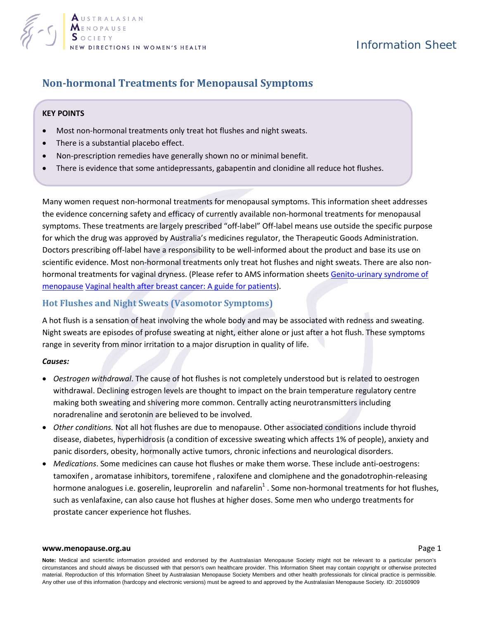

# Information Sheet

# **Non-hormonal Treatments for Menopausal Symptoms**

## **KEY POINTS**

- Most non-hormonal treatments only treat hot flushes and night sweats.
- There is a substantial placebo effect.
- Non-prescription remedies have generally shown no or minimal benefit.
- There is evidence that some antidepressants, gabapentin and clonidine all reduce hot flushes.

Many women request non-hormonal treatments for menopausal symptoms. This information sheet addresses the evidence concerning safety and efficacy of currently available non-hormonal treatments for menopausal symptoms. These treatments are largely prescribed "off-label" Off-label means use outside the specific purpose for which the drug was approved by Australia's medicines regulator, the Therapeutic Goods Administration. Doctors prescribing off-label have a responsibility to be well-informed about the product and base its use on scientific evidence. Most non-hormonal treatments only treat hot flushes and night sweats. There are also nonhormonal treatments for vaginal dryness. (Please refer to AMS information sheets Genito-urinary syndrome of [menopause](http://www.menopause.org.au/for-women/information-sheets/975-genito-urinary-syndrome-of-menopause) [Vaginal health after breast cancer: A guide for patients\)](http://www.menopause.org.au/for-women/information-sheets/974-vaginal-health-after-breast-cancer-a-guide-for-patients).

## **Hot Flushes and Night Sweats (Vasomotor Symptoms)**

A hot flush is a sensation of heat involving the whole body and may be associated with redness and sweating. Night sweats are episodes of profuse sweating at night, either alone or just after a hot flush. These symptoms range in severity from minor irritation to a major disruption in quality of life.

#### *Causes:*

- *Oestrogen withdrawal*. The cause of hot flushes is not completely understood but is related to oestrogen withdrawal. Declining estrogen levels are thought to impact on the brain temperature regulatory centre making both sweating and shivering more common. Centrally acting neurotransmitters including noradrenaline and serotonin are believed to be involved.
- *Other conditions.* Not all hot flushes are due to menopause. Other associated conditions include thyroid disease, diabetes, hyperhidrosis (a condition of excessive sweating which affects 1% of people), anxiety and panic disorders, obesity, hormonally active tumors, chronic infections and neurological disorders.
- *Medications*. Some medicines can cause hot flushes or make them worse. These include anti-oestrogens: tamoxifen , aromatase inhibitors, toremifene , raloxifene and clomiphene and the gonadotrophin-releasing hormone analogues i.e. goserelin, leuprorelin and nafarelin<sup>1</sup>. Some non-hormonal treatments for hot flushes, such as venlafaxine, can also cause hot flushes at higher doses. Some men who undergo treatments for prostate cancer experience hot flushes.

#### **[www.menopause.org.au](http://www.menopause.org.au/)** Page 1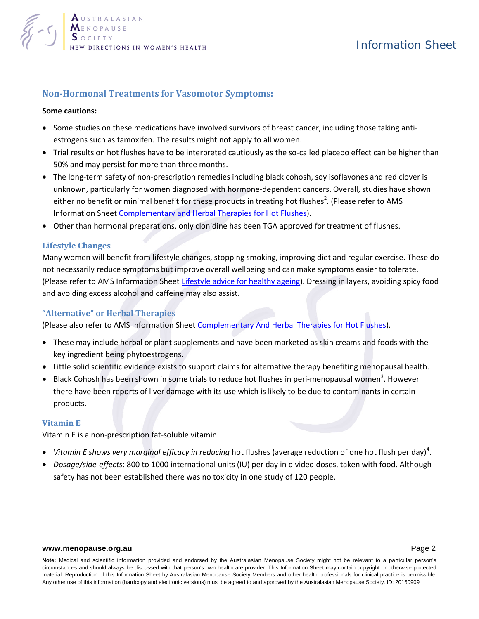

# Information Sheet

# **Non-Hormonal Treatments for Vasomotor Symptoms:**

### **Some cautions:**

- Some studies on these medications have involved survivors of breast cancer, including those taking antiestrogens such as tamoxifen. The results might not apply to all women.
- Trial results on hot flushes have to be interpreted cautiously as the so-called placebo effect can be higher than 50% and may persist for more than three months.
- The long-term safety of non-prescription remedies including black cohosh, soy isoflavones and red clover is unknown, particularly for women diagnosed with hormone-dependent cancers. Overall, studies have shown either no benefit or minimal benefit for the[s](#page-4-1)e products in treating hot flushes<sup>2</sup>. (Please refer to AMS Information Sheet [Complementary and Herbal Therapies for Hot Flushes\)](http://www.menopause.org.au/for-women/information-sheets/734-complementary-and-herbal-therapies-for-hot-flushes).
- Other than hormonal preparations, only clonidine has been TGA approved for treatment of flushes.

## **Lifestyle Changes**

Many women will benefit from lifestyle changes, stopping smoking, improving diet and regular exercise. These do not necessarily reduce symptoms but improve overall wellbeing and can make symptoms easier to tolerate. (Please refer to AMS Information Sheet [Lifestyle advice for healthy ageing\)](http://www.menopause.org.au/for-women/information-sheets/876-lifestyle-advice-for-healthy-ageing). Dressing in layers, avoiding spicy food and avoiding excess alcohol and caffeine may also assist.

## **"Alternative" or Herbal Therapies**

(Please also refer to AMS Information Shee[t Complementary And Herbal Therapies for Hot Flushes\)](http://www.menopause.org.au/for-women/information-sheets/734-complementary-and-herbal-therapies-for-hot-flushes).

- These may include herbal or plant supplements and have been marketed as skin creams and foods with the key ingredient being phytoestrogens.
- Little solid scientific evidence exists to support claims for alternative therapy benefiting menopausal health.
- $\bullet$  Black Cohosh has been shown in some trials to reduce hot flushes in peri-menopausal women<sup>3</sup>. However there have been reports of liver damage with its use which is likely to be due to contaminants in certain products.

## **Vitamin E**

Vitamin E is a non-prescription fat-soluble vitamin.

- Vitamin E shows very marginal efficacy in reducing hot flushes (average reduction of one hot flush per day[\)](#page-4-3)<sup>4</sup>.
- *Dosage/side-effects*: 800 to 1000 international units (IU) per day in divided doses, taken with food. Although safety has not been established there was no toxicity in one study of 120 people.

#### **[www.menopause.org.au](http://www.menopause.org.au/) Page 2**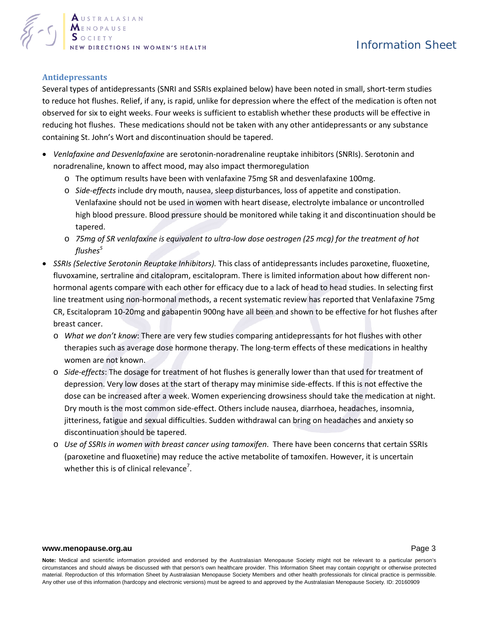

# **Antidepressants**

Several types of antidepressants (SNRI and SSRIs explained below) have been noted in small, short-term studies to reduce hot flushes. Relief, if any, is rapid, unlike for depression where the effect of the medication is often not observed for six to eight weeks. Four weeks is sufficient to establish whether these products will be effective in reducing hot flushes. These medications should not be taken with any other antidepressants or any substance containing St. John's Wort and discontinuation should be tapered.

- *Venlafaxine and Desvenlafaxine* are serotonin-noradrenaline reuptake inhibitors (SNRIs). Serotonin and noradrenaline, known to affect mood, may also impact thermoregulation
	- o The optimum results have been with venlafaxine 75mg SR and desvenlafaxine 100mg.
	- o *Side-effects* include dry mouth, nausea, sleep disturbances, loss of appetite and constipation. Venlafaxine should not be used in women with heart disease, electrolyte imbalance or uncontrolled high blood pressure. Blood pressure should be monitored while taking it and discontinuation should be tapered.
	- o *75mg of SR venlafaxine is equivalent to ultra-low dose oestrogen (25 mcg) for the treatment of hot flushe[s](#page-4-4)<sup>5</sup>*
- *SSRIs (Selective Serotonin Reuptake Inhibitors).* This class of antidepressants includes paroxetine, fluoxetine, fluvoxamine, sertraline and citalopram, escitalopram. There is limited information about how different nonhormonal agents compare with each other for efficacy due to a lack of head to head studies. In selecting first line treatment using non-hormonal methods, a recent systematic review has reported that Venlafaxine 75mg CR, Escitalopram 10-20mg and gabapentin 900ng have all been and shown to be effective for hot flushes after breast cancer.
	- o *What we don't know*: There are very few studies comparing antidepressants for hot flushes with other therapies such as average dose hormone therapy. The long-term effects of these medications in healthy women are not known.
	- o *Side-effects*: The dosage for treatment of hot flushes is generally lower than that used for treatment of depression. Very low doses at the start of therapy may minimise side-effects. If this is not effective the dose can be increased after a week. Women experiencing drowsiness should take the medication at night. Dry mouth is the most common side-effect. Others include nausea, diarrhoea, headaches, insomnia, jitteriness, fatigue and sexual difficulties. Sudden withdrawal can bring on headaches and anxiety so discontinuation should be tapered.
	- o *Use of SSRIs in women with breast cancer using tamoxifen*. There have been concerns that certain SSRIs (paroxetine and fluoxetine) may reduce the active metabolite of tamoxifen. However, it is uncertain whether this is of clinical relevance<sup>7</sup>[.](#page-4-5)

#### **[www.menopause.org.au](http://www.menopause.org.au/)** Page 3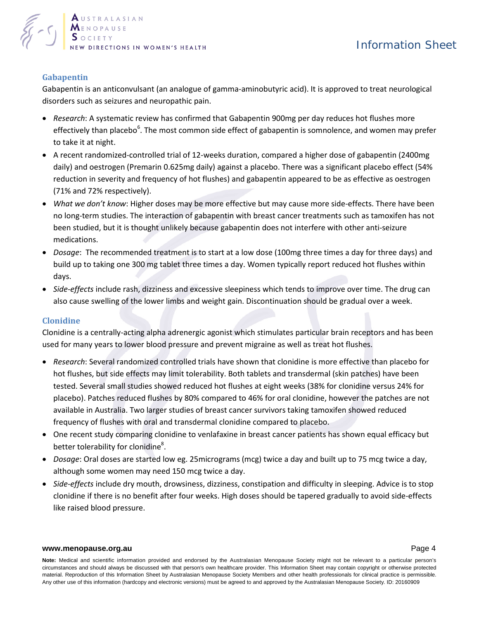

# **Gabapentin**

Gabapentin is an anticonvulsant (an analogue of gamma-aminobutyric acid). It is approved to treat neurological disorders such as seizures and neuropathic pain.

- *Research*: A systematic review has confirmed that Gabapentin 900mg per day reduces hot flushes more effectively than placeb[o](#page-4-6)<sup>6</sup>. The most common side effect of gabapentin is somnolence, and women may prefer to take it at night.
- A recent randomized-controlled trial of 12-weeks duration, compared a higher dose of gabapentin (2400mg daily) and oestrogen (Premarin 0.625mg daily) against a placebo. There was a significant placebo effect (54% reduction in severity and frequency of hot flushes) and gabapentin appeared to be as effective as oestrogen (71% and 72% respectively).
- *What we don't know*: Higher doses may be more effective but may cause more side-effects. There have been no long-term studies. The interaction of gabapentin with breast cancer treatments such as tamoxifen has not been studied, but it is thought unlikely because gabapentin does not interfere with other anti-seizure medications.
- *Dosage*: The recommended treatment is to start at a low dose (100mg three times a day for three days) and build up to taking one 300 mg tablet three times a day. Women typically report reduced hot flushes within days.
- *Side-effects* include rash, dizziness and excessive sleepiness which tends to improve over time. The drug can also cause swelling of the lower limbs and weight gain. Discontinuation should be gradual over a week.

## **Clonidine**

Clonidine is a centrally-acting alpha adrenergic agonist which stimulates particular brain receptors and has been used for many years to lower blood pressure and prevent migraine as well as treat hot flushes.

- *Research*: Several randomized controlled trials have shown that clonidine is more effective than placebo for hot flushes, but side effects may limit tolerability. Both tablets and transdermal (skin patches) have been tested. Several small studies showed reduced hot flushes at eight weeks (38% for clonidine versus 24% for placebo). Patches reduced flushes by 80% compared to 46% for oral clonidine, however the patches are not available in Australia. Two larger studies of breast cancer survivors taking tamoxifen showed reduced frequency of flushes with oral and transdermal clonidine compared to placebo.
- One recent study comparing clonidine to venlafaxine in breast cancer patients has shown equal efficacy but better tolerability for clonidine<sup>8</sup>[.](#page-4-7)
- *Dosage*: Oral doses are started low eg. 25micrograms (mcg) twice a day and built up to 75 mcg twice a day, although some women may need 150 mcg twice a day.
- *Side-effects* include dry mouth, drowsiness, dizziness, constipation and difficulty in sleeping. Advice is to stop clonidine if there is no benefit after four weeks. High doses should be tapered gradually to avoid side-effects like raised blood pressure.

#### **[www.menopause.org.au](http://www.menopause.org.au/)** Page 4